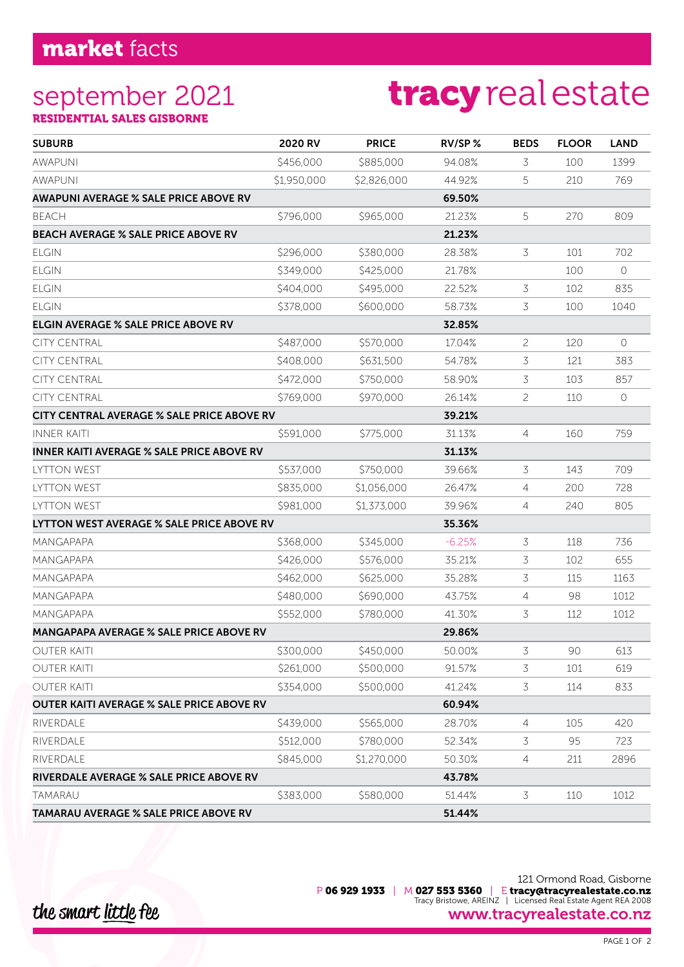#### september 2021 RESIDENTIAL SALES GISBORNE

# tracyrealestate

| <b>SUBURB</b>                                     | 2020 RV     | <b>PRICE</b> | RV/SP%   | <b>BEDS</b>    | <b>FLOOR</b> | <b>LAND</b> |
|---------------------------------------------------|-------------|--------------|----------|----------------|--------------|-------------|
| <b>AWAPUNI</b>                                    | \$456,000   | \$885,000    | 94.08%   | 3              | 100          | 1399        |
| <b>AWAPUNI</b>                                    | \$1,950,000 | \$2,826,000  | 44.92%   | 5              | 210          | 769         |
| <b>AWAPUNI AVERAGE % SALE PRICE ABOVE RV</b>      |             |              | 69.50%   |                |              |             |
| <b>BEACH</b>                                      | \$796,000   | \$965,000    | 21.23%   | 5              | 270          | 809         |
| <b>BEACH AVERAGE % SALE PRICE ABOVE RV</b>        |             |              | 21.23%   |                |              |             |
| <b>ELGIN</b>                                      | \$296,000   | \$380,000    | 28.38%   | 3              | 101          | 702         |
| <b>ELGIN</b>                                      | \$349,000   | \$425,000    | 21.78%   |                | 100          | $\circ$     |
| <b>ELGIN</b>                                      | \$404,000   | \$495,000    | 22.52%   | 3              | 102          | 835         |
| <b>ELGIN</b>                                      | \$378,000   | \$600,000    | 58.73%   | 3              | 100          | 1040        |
| <b>ELGIN AVERAGE % SALE PRICE ABOVE RV</b>        |             |              | 32.85%   |                |              |             |
| <b>CITY CENTRAL</b>                               | \$487,000   | \$570,000    | 17.04%   | $\overline{c}$ | 120          | $\circ$     |
| <b>CITY CENTRAL</b>                               | \$408,000   | \$631,500    | 54.78%   | 3              | 121          | 383         |
| <b>CITY CENTRAL</b>                               | \$472,000   | \$750,000    | 58.90%   | 3              | 103          | 857         |
| <b>CITY CENTRAL</b>                               | \$769,000   | \$970,000    | 26.14%   | 2              | 110          | $\circ$     |
| <b>CITY CENTRAL AVERAGE % SALE PRICE ABOVE RV</b> |             |              | 39.21%   |                |              |             |
| <b>INNER KAITI</b>                                | \$591,000   | \$775,000    | 31.13%   | 4              | 160          | 759         |
| <b>INNER KAITI AVERAGE % SALE PRICE ABOVE RV</b>  |             |              | 31.13%   |                |              |             |
| <b>LYTTON WEST</b>                                | \$537,000   | \$750,000    | 39.66%   | 3              | 143          | 709         |
| <b>LYTTON WEST</b>                                | \$835,000   | \$1,056,000  | 26.47%   | 4              | 200          | 728         |
| <b>LYTTON WEST</b>                                | \$981,000   | \$1,373,000  | 39.96%   | 4              | 240          | 805         |
| LYTTON WEST AVERAGE % SALE PRICE ABOVE RV         |             |              | 35.36%   |                |              |             |
| <b>MANGAPAPA</b>                                  | \$368,000   | \$345,000    | $-6.25%$ | 3              | 118          | 736         |
| MANGAPAPA                                         | \$426,000   | \$576,000    | 35.21%   | 3              | 102          | 655         |
| MANGAPAPA                                         | \$462,000   | \$625,000    | 35.28%   | 3              | 115          | 1163        |
| MANGAPAPA                                         | \$480,000   | \$690,000    | 43.75%   | 4              | 98           | 1012        |
| MANGAPAPA                                         | \$552,000   | \$780,000    | 41.30%   | 3              | 112          | 1012        |
| <b>MANGAPAPA AVERAGE % SALE PRICE ABOVE RV</b>    |             |              | 29.86%   |                |              |             |
| <b>OUTER KAITI</b>                                | \$300,000   | \$450,000    | 50.00%   | 3              | 90           | 613         |
| <b>OUTER KAITI</b>                                | \$261,000   | \$500,000    | 91.57%   | 3              | 101          | 619         |
| <b>OUTER KAITI</b>                                | \$354,000   | \$500,000    | 41.24%   | 3              | 114          | 833         |
| <b>OUTER KAITI AVERAGE % SALE PRICE ABOVE RV</b>  |             |              | 60.94%   |                |              |             |
| RIVERDALE                                         | \$439,000   | \$565,000    | 28.70%   | 4              | 105          | 420         |
| RIVERDALE                                         | \$512,000   | \$780,000    | 52.34%   | 3              | 95           | 723         |
| RIVERDALE                                         | \$845,000   | \$1,270,000  | 50.30%   | 4              | 211          | 2896        |
| RIVERDALE AVERAGE % SALE PRICE ABOVE RV           |             |              | 43.78%   |                |              |             |
| TAMARAU                                           | \$383,000   | \$580,000    | 51.44%   | 3              | 110          | 1012        |
| <b>TAMARAU AVERAGE % SALE PRICE ABOVE RV</b>      |             |              | 51.44%   |                |              |             |

121 Ormond Road, Gisborne P 06 929 1933 | M 027 553 5360 | E tracy@tracyrealestate.co.nz Tracy Bristowe, AREINZ | Licensed Real Estate Agent REA 2008 www.tracyrealestate.co.nz

the smart little fee